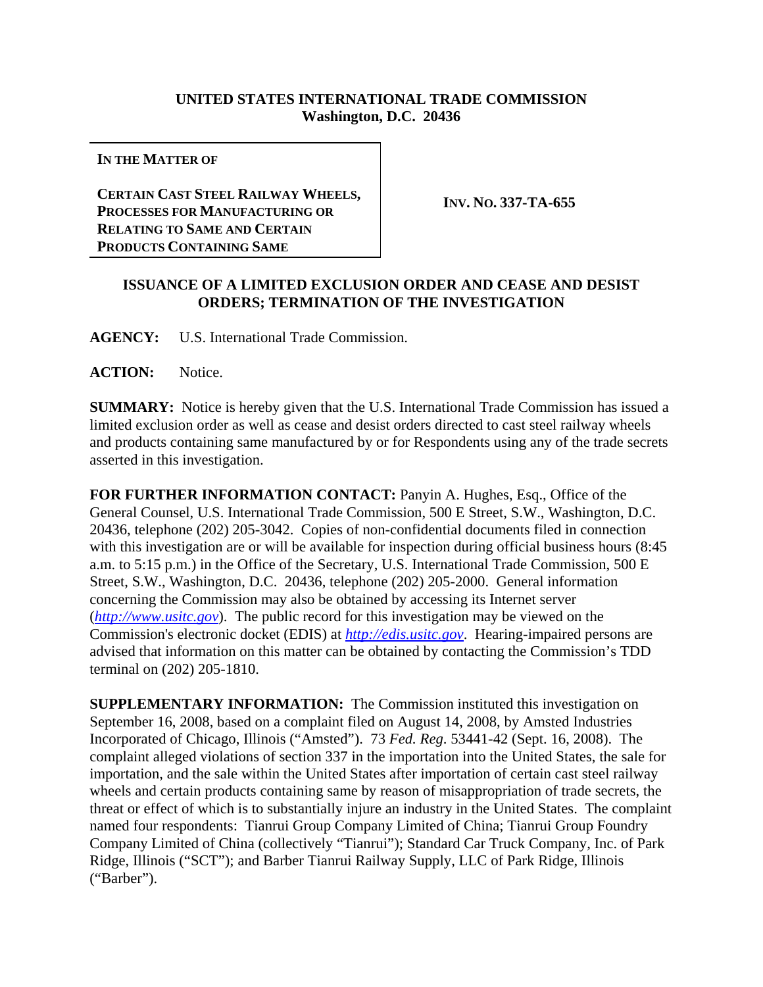## **UNITED STATES INTERNATIONAL TRADE COMMISSION Washington, D.C. 20436**

**IN THE MATTER OF**

**CERTAIN CAST STEEL RAILWAY WHEELS, PROCESSES FOR MANUFACTURING OR RELATING TO SAME AND CERTAIN PRODUCTS CONTAINING SAME**

**INV. NO. 337-TA-655**

## **ISSUANCE OF A LIMITED EXCLUSION ORDER AND CEASE AND DESIST ORDERS; TERMINATION OF THE INVESTIGATION**

**AGENCY:** U.S. International Trade Commission.

**ACTION:** Notice.

**SUMMARY:** Notice is hereby given that the U.S. International Trade Commission has issued a limited exclusion order as well as cease and desist orders directed to cast steel railway wheels and products containing same manufactured by or for Respondents using any of the trade secrets asserted in this investigation.

**FOR FURTHER INFORMATION CONTACT:** Panyin A. Hughes, Esq., Office of the General Counsel, U.S. International Trade Commission, 500 E Street, S.W., Washington, D.C. 20436, telephone (202) 205-3042. Copies of non-confidential documents filed in connection with this investigation are or will be available for inspection during official business hours (8:45 a.m. to 5:15 p.m.) in the Office of the Secretary, U.S. International Trade Commission, 500 E Street, S.W., Washington, D.C. 20436, telephone (202) 205-2000. General information concerning the Commission may also be obtained by accessing its Internet server (*http://www.usitc.gov*). The public record for this investigation may be viewed on the Commission's electronic docket (EDIS) at *http://edis.usitc.gov*. Hearing-impaired persons are advised that information on this matter can be obtained by contacting the Commission's TDD terminal on (202) 205-1810.

**SUPPLEMENTARY INFORMATION:** The Commission instituted this investigation on September 16, 2008, based on a complaint filed on August 14, 2008, by Amsted Industries Incorporated of Chicago, Illinois ("Amsted"). 73 *Fed. Reg*. 53441-42 (Sept. 16, 2008). The complaint alleged violations of section 337 in the importation into the United States, the sale for importation, and the sale within the United States after importation of certain cast steel railway wheels and certain products containing same by reason of misappropriation of trade secrets, the threat or effect of which is to substantially injure an industry in the United States. The complaint named four respondents: Tianrui Group Company Limited of China; Tianrui Group Foundry Company Limited of China (collectively "Tianrui"); Standard Car Truck Company, Inc. of Park Ridge, Illinois ("SCT"); and Barber Tianrui Railway Supply, LLC of Park Ridge, Illinois ("Barber").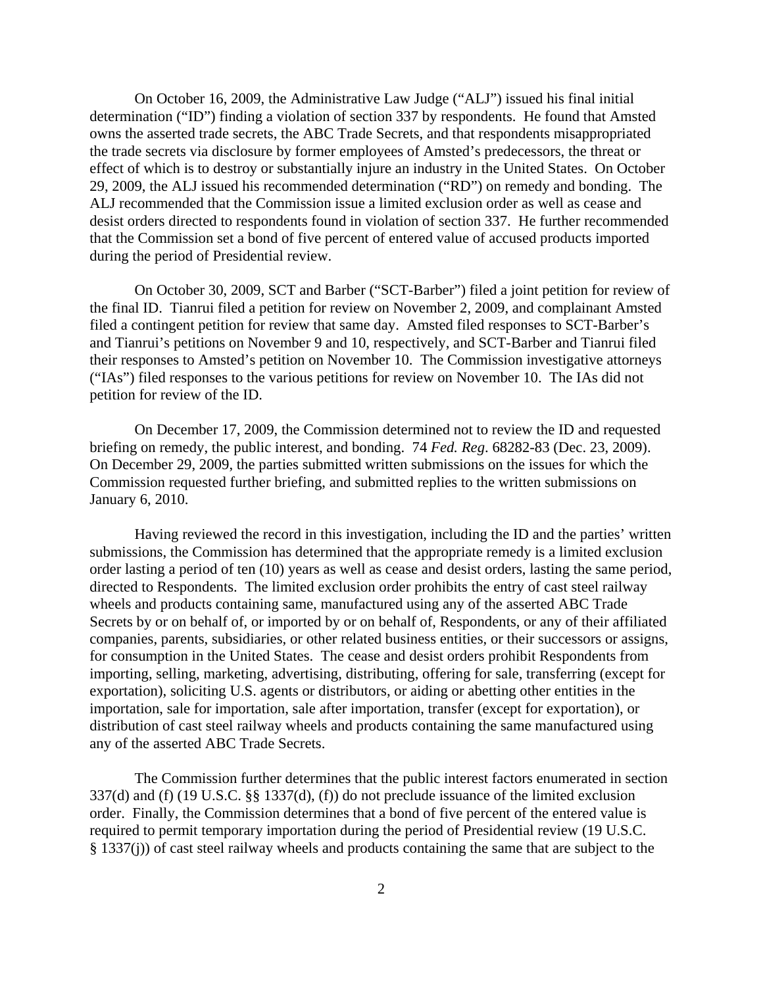On October 16, 2009, the Administrative Law Judge ("ALJ") issued his final initial determination ("ID") finding a violation of section 337 by respondents. He found that Amsted owns the asserted trade secrets, the ABC Trade Secrets, and that respondents misappropriated the trade secrets via disclosure by former employees of Amsted's predecessors, the threat or effect of which is to destroy or substantially injure an industry in the United States. On October 29, 2009, the ALJ issued his recommended determination ("RD") on remedy and bonding. The ALJ recommended that the Commission issue a limited exclusion order as well as cease and desist orders directed to respondents found in violation of section 337. He further recommended that the Commission set a bond of five percent of entered value of accused products imported during the period of Presidential review.

On October 30, 2009, SCT and Barber ("SCT-Barber") filed a joint petition for review of the final ID. Tianrui filed a petition for review on November 2, 2009, and complainant Amsted filed a contingent petition for review that same day. Amsted filed responses to SCT-Barber's and Tianrui's petitions on November 9 and 10, respectively, and SCT-Barber and Tianrui filed their responses to Amsted's petition on November 10. The Commission investigative attorneys ("IAs") filed responses to the various petitions for review on November 10. The IAs did not petition for review of the ID.

On December 17, 2009, the Commission determined not to review the ID and requested briefing on remedy, the public interest, and bonding. 74 *Fed. Reg*. 68282-83 (Dec. 23, 2009). On December 29, 2009, the parties submitted written submissions on the issues for which the Commission requested further briefing, and submitted replies to the written submissions on January 6, 2010.

Having reviewed the record in this investigation, including the ID and the parties' written submissions, the Commission has determined that the appropriate remedy is a limited exclusion order lasting a period of ten (10) years as well as cease and desist orders, lasting the same period, directed to Respondents. The limited exclusion order prohibits the entry of cast steel railway wheels and products containing same, manufactured using any of the asserted ABC Trade Secrets by or on behalf of, or imported by or on behalf of, Respondents, or any of their affiliated companies, parents, subsidiaries, or other related business entities, or their successors or assigns, for consumption in the United States. The cease and desist orders prohibit Respondents from importing, selling, marketing, advertising, distributing, offering for sale, transferring (except for exportation), soliciting U.S. agents or distributors, or aiding or abetting other entities in the importation, sale for importation, sale after importation, transfer (except for exportation), or distribution of cast steel railway wheels and products containing the same manufactured using any of the asserted ABC Trade Secrets.

The Commission further determines that the public interest factors enumerated in section 337(d) and (f) (19 U.S.C. §§ 1337(d), (f)) do not preclude issuance of the limited exclusion order. Finally, the Commission determines that a bond of five percent of the entered value is required to permit temporary importation during the period of Presidential review (19 U.S.C. § 1337(j)) of cast steel railway wheels and products containing the same that are subject to the